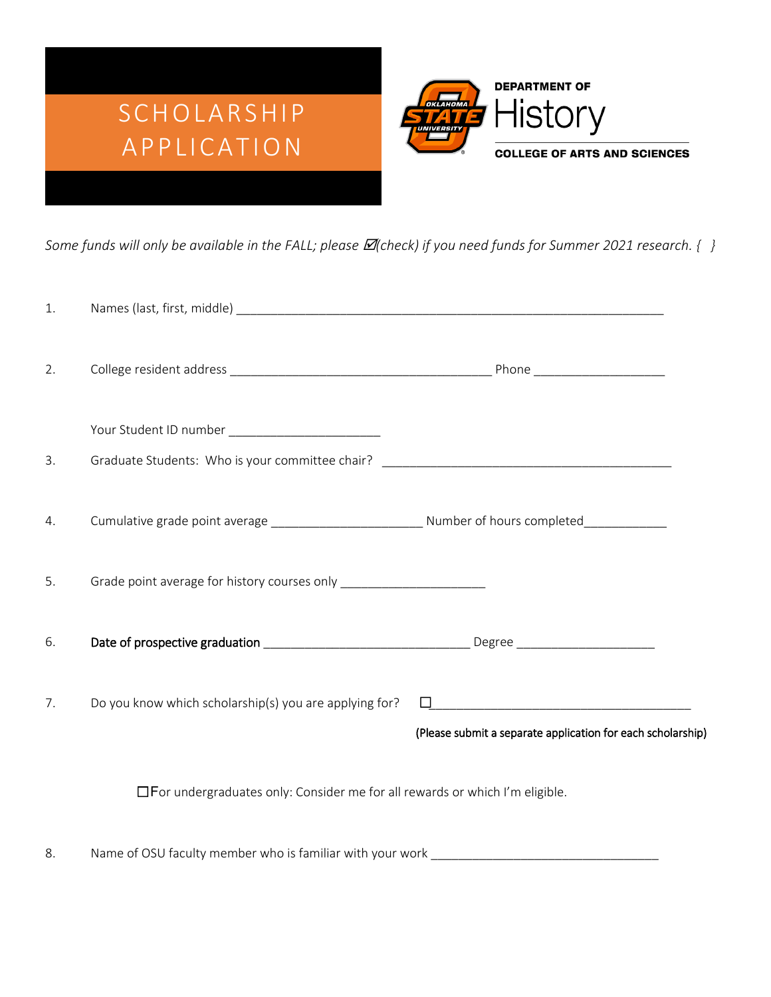

*Some funds will only be available in the FALL; please*  $\mathbb{Z}$ *(check) if you need funds for Summer 2021 research.* { }

| 1. |                                                                                    |                                                             |
|----|------------------------------------------------------------------------------------|-------------------------------------------------------------|
| 2. |                                                                                    |                                                             |
| 3. |                                                                                    |                                                             |
| 4. |                                                                                    |                                                             |
| 5. | Grade point average for history courses only _________________________             |                                                             |
| 6. |                                                                                    |                                                             |
| 7. | Do you know which scholarship(s) you are applying for?                             | (Please submit a separate application for each scholarship) |
|    | $\Box$ For undergraduates only: Consider me for all rewards or which I'm eligible. |                                                             |

8. Name of OSU faculty member who is familiar with your work \_\_\_\_\_\_\_\_\_\_\_\_\_\_\_\_\_\_\_\_\_\_\_\_\_\_\_\_\_\_\_\_\_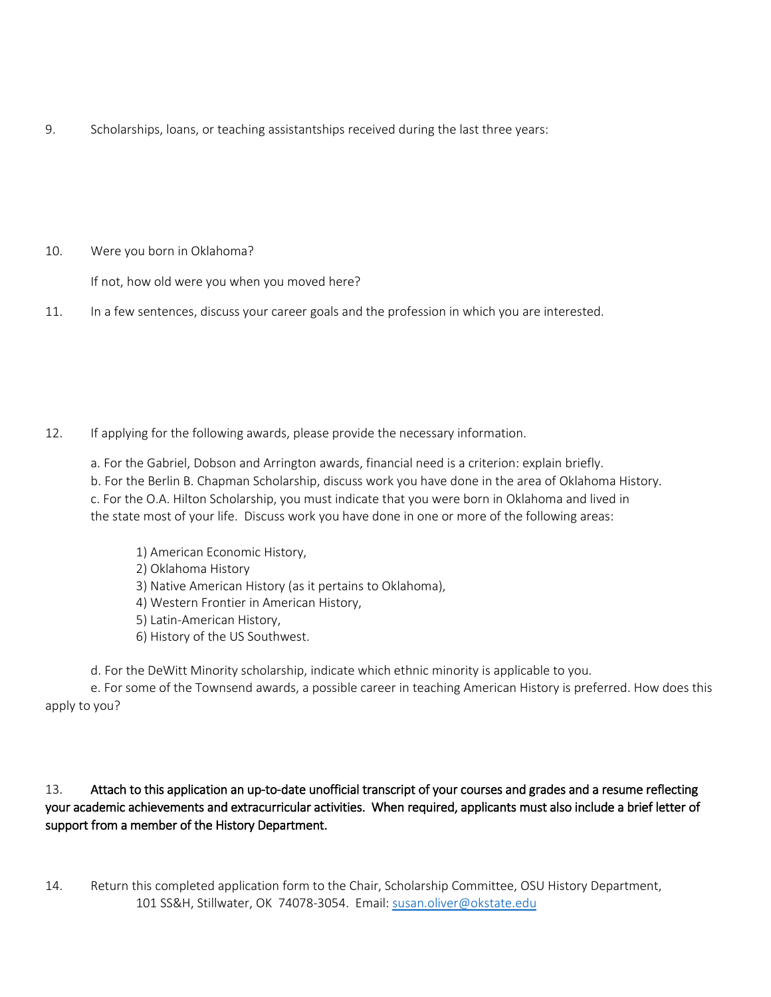9. Scholarships, loans, or teaching assistantships received during the last three years:

10. Were you born in Oklahoma?

If not, how old were you when you moved here?

11. In a few sentences, discuss your career goals and the profession in which you are interested.

- 12. If applying for the following awards, please provide the necessary information.
	- a. For the Gabriel, Dobson and Arrington awards, financial need is a criterion: explain briefly. b. For the Berlin B. Chapman Scholarship, discuss work you have done in the area of Oklahoma History. c. For the O.A. Hilton Scholarship, you must indicate that you were born in Oklahoma and lived in the state most of your life. Discuss work you have done in one or more of the following areas:
		- 1) American Economic History,
		- 2) Oklahoma History
		- 3) Native American History (as it pertains to Oklahoma),
		- 4) Western Frontier in American History,
		- 5) Latin-American History,
		- 6) History of the US Southwest.
	- d. For the DeWitt Minority scholarship, indicate which ethnic minority is applicable to you.

e. For some of the Townsend awards, a possible career in teaching American History is preferred. How does this apply to you?

## 13. Attach to this application an up-to-date unofficial transcript of your courses and grades and a resume reflecting your academic achievements and extracurricular activities. When required, applicants must also include a brief letter of support from a member of the History Department.

14. Return this completed application form to the Chair, Scholarship Committee, OSU History Department, 101 SS&H, Stillwater, OK 74078-3054. Email[: susan.oliver@okstate.edu](mailto:susan.oliver@okstate.edu)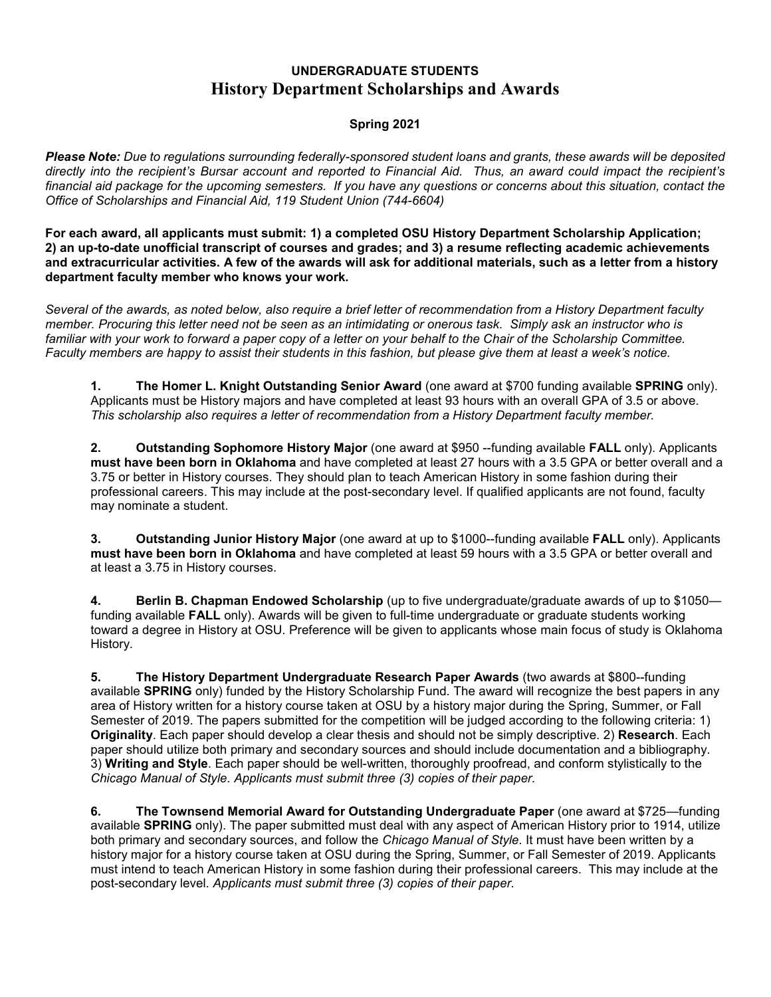## **UNDERGRADUATE STUDENTS History Department Scholarships and Awards**

### **Spring 2021**

*Please Note: Due to regulations surrounding federally-sponsored student loans and grants, these awards will be deposited directly into the recipient's Bursar account and reported to Financial Aid. Thus, an award could impact the recipient's*  financial aid package for the upcoming semesters. If you have any questions or concerns about this situation, contact the *Office of Scholarships and Financial Aid, 119 Student Union (744-6604)*

**For each award, all applicants must submit: 1) a completed OSU History Department Scholarship Application; 2) an up-to-date unofficial transcript of courses and grades; and 3) a resume reflecting academic achievements and extracurricular activities. A few of the awards will ask for additional materials, such as a letter from a history department faculty member who knows your work.**

*Several of the awards, as noted below, also require a brief letter of recommendation from a History Department faculty member. Procuring this letter need not be seen as an intimidating or onerous task. Simply ask an instructor who is*  familiar with your work to forward a paper copy of a letter on your behalf to the Chair of the Scholarship Committee. *Faculty members are happy to assist their students in this fashion, but please give them at least a week's notice.*

**1. The Homer L. Knight Outstanding Senior Award** (one award at \$700 funding available **SPRING** only). Applicants must be History majors and have completed at least 93 hours with an overall GPA of 3.5 or above. *This scholarship also requires a letter of recommendation from a History Department faculty member.*

**2. Outstanding Sophomore History Major** (one award at \$950 --funding available **FALL** only). Applicants **must have been born in Oklahoma** and have completed at least 27 hours with a 3.5 GPA or better overall and a 3.75 or better in History courses. They should plan to teach American History in some fashion during their professional careers. This may include at the post-secondary level. If qualified applicants are not found, faculty may nominate a student.

**3. Outstanding Junior History Major** (one award at up to \$1000--funding available **FALL** only). Applicants **must have been born in Oklahoma** and have completed at least 59 hours with a 3.5 GPA or better overall and at least a 3.75 in History courses.

**4. Berlin B. Chapman Endowed Scholarship** (up to five undergraduate/graduate awards of up to \$1050 funding available **FALL** only). Awards will be given to full-time undergraduate or graduate students working toward a degree in History at OSU. Preference will be given to applicants whose main focus of study is Oklahoma History.

**5. The History Department Undergraduate Research Paper Awards** (two awards at \$800--funding available **SPRING** only) funded by the History Scholarship Fund. The award will recognize the best papers in any area of History written for a history course taken at OSU by a history major during the Spring, Summer, or Fall Semester of 2019. The papers submitted for the competition will be judged according to the following criteria: 1) **Originality**. Each paper should develop a clear thesis and should not be simply descriptive. 2) **Research**. Each paper should utilize both primary and secondary sources and should include documentation and a bibliography. 3) **Writing and Style**. Each paper should be well-written, thoroughly proofread, and conform stylistically to the *Chicago Manual of Style. Applicants must submit three (3) copies of their paper.*

**6. The Townsend Memorial Award for Outstanding Undergraduate Paper** (one award at \$725—funding available **SPRING** only). The paper submitted must deal with any aspect of American History prior to 1914, utilize both primary and secondary sources, and follow the *Chicago Manual of Style*. It must have been written by a history major for a history course taken at OSU during the Spring, Summer, or Fall Semester of 2019. Applicants must intend to teach American History in some fashion during their professional careers. This may include at the post-secondary level. *Applicants must submit three (3) copies of their paper.*